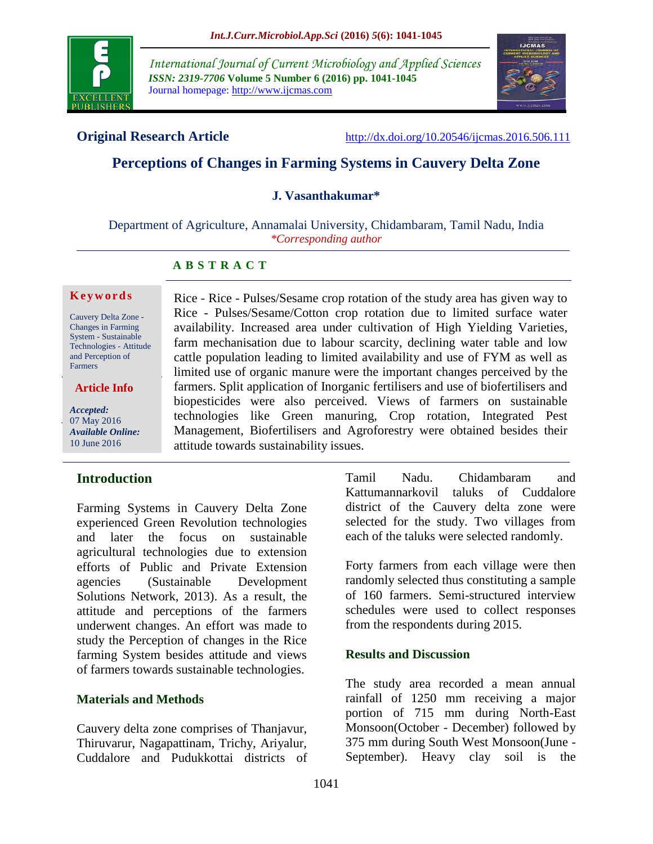

*International Journal of Current Microbiology and Applied Sciences ISSN: 2319-7706* **Volume 5 Number 6 (2016) pp. 1041-1045** Journal homepage: http://www.ijcmas.com



**Original Research Article** <http://dx.doi.org/10.20546/ijcmas.2016.506.111>

# **Perceptions of Changes in Farming Systems in Cauvery Delta Zone**

#### **J. Vasanthakumar\***

Department of Agriculture, Annamalai University, Chidambaram, Tamil Nadu, India *\*Corresponding author*

### **A B S T R A C T**

#### **K e y w o r d s**

Cauvery Delta Zone - Changes in Farming System - Sustainable Technologies - Attitude and Perception of Farmers

**Article Info**

*Accepted:*  07 May 2016 *Available Online:* 10 June 2016

### **Introduction**

Farming Systems in Cauvery Delta Zone experienced Green Revolution technologies and later the focus on sustainable agricultural technologies due to extension efforts of Public and Private Extension agencies (Sustainable Development Solutions Network, 2013). As a result, the attitude and perceptions of the farmers underwent changes. An effort was made to study the Perception of changes in the Rice farming System besides attitude and views of farmers towards sustainable technologies.

### **Materials and Methods**

Cauvery delta zone comprises of Thanjavur, Thiruvarur, Nagapattinam, Trichy, Ariyalur, Cuddalore and Pudukkottai districts of

Rice - Rice - Pulses/Sesame crop rotation of the study area has given way to Rice - Pulses/Sesame/Cotton crop rotation due to limited surface water availability. Increased area under cultivation of High Yielding Varieties, farm mechanisation due to labour scarcity, declining water table and low cattle population leading to limited availability and use of FYM as well as limited use of organic manure were the important changes perceived by the farmers. Split application of Inorganic fertilisers and use of biofertilisers and biopesticides were also perceived. Views of farmers on sustainable technologies like Green manuring, Crop rotation, Integrated Pest Management, Biofertilisers and Agroforestry were obtained besides their attitude towards sustainability issues.

> Tamil Nadu. Chidambaram and Kattumannarkovil taluks of Cuddalore district of the Cauvery delta zone were selected for the study. Two villages from each of the taluks were selected randomly.

> Forty farmers from each village were then randomly selected thus constituting a sample of 160 farmers. Semi-structured interview schedules were used to collect responses from the respondents during 2015.

### **Results and Discussion**

The study area recorded a mean annual rainfall of 1250 mm receiving a major portion of 715 mm during North-East Monsoon(October - December) followed by 375 mm during South West Monsoon(June - September). Heavy clay soil is the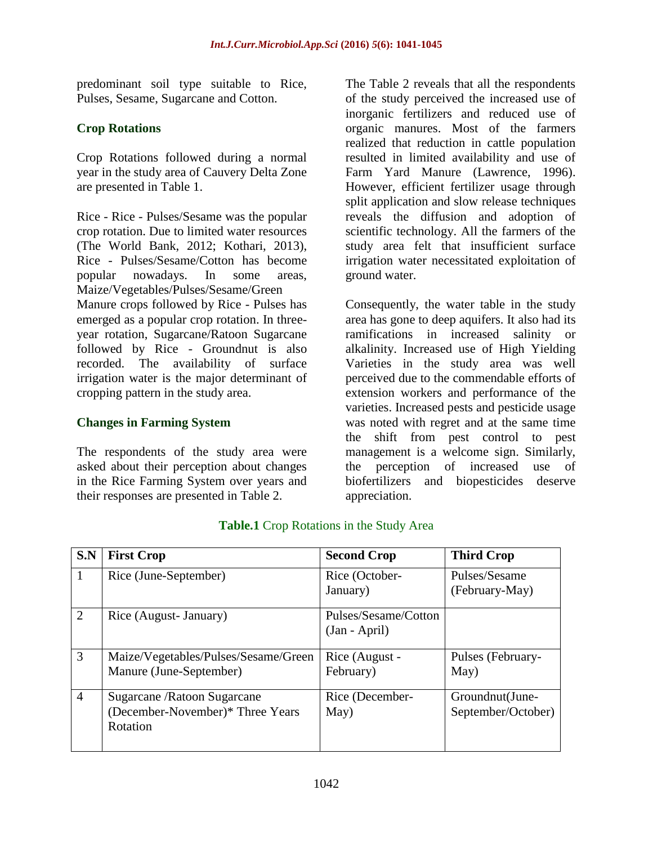predominant soil type suitable to Rice, Pulses, Sesame, Sugarcane and Cotton.

## **Crop Rotations**

Crop Rotations followed during a normal year in the study area of Cauvery Delta Zone are presented in Table 1.

Rice - Rice - Pulses/Sesame was the popular crop rotation. Due to limited water resources (The World Bank, 2012; Kothari, 2013), Rice - Pulses/Sesame/Cotton has become popular nowadays. In some areas, Maize/Vegetables/Pulses/Sesame/Green Manure crops followed by Rice - Pulses has emerged as a popular crop rotation. In threeyear rotation, Sugarcane/Ratoon Sugarcane followed by Rice - Groundnut is also recorded. The availability of surface irrigation water is the major determinant of cropping pattern in the study area.

### **Changes in Farming System**

The respondents of the study area were asked about their perception about changes in the Rice Farming System over years and their responses are presented in Table 2.

The Table 2 reveals that all the respondents of the study perceived the increased use of inorganic fertilizers and reduced use of organic manures. Most of the farmers realized that reduction in cattle population resulted in limited availability and use of Farm Yard Manure (Lawrence, 1996). However, efficient fertilizer usage through split application and slow release techniques reveals the diffusion and adoption of scientific technology. All the farmers of the study area felt that insufficient surface irrigation water necessitated exploitation of ground water.

Consequently, the water table in the study area has gone to deep aquifers. It also had its ramifications in increased salinity or alkalinity. Increased use of High Yielding Varieties in the study area was well perceived due to the commendable efforts of extension workers and performance of the varieties. Increased pests and pesticide usage was noted with regret and at the same time the shift from pest control to pest management is a welcome sign. Similarly, the perception of increased use of biofertilizers and biopesticides deserve appreciation.

| S.N            | <b>First Crop</b>                                                            | <b>Second Crop</b>                      | <b>Third Crop</b>                     |
|----------------|------------------------------------------------------------------------------|-----------------------------------------|---------------------------------------|
|                | Rice (June-September)                                                        | Rice (October-<br>January)              | Pulses/Sesame<br>(February-May)       |
| $\overline{2}$ | Rice (August- January)                                                       | Pulses/Sesame/Cotton<br>$(Jan - April)$ |                                       |
| $\overline{3}$ | Maize/Vegetables/Pulses/Sesame/Green<br>Manure (June-September)              | Rice (August -<br>February)             | Pulses (February-<br>May)             |
| $\overline{4}$ | Sugarcane / Ratoon Sugarcane<br>(December-November)* Three Years<br>Rotation | Rice (December-<br>May)                 | Groundnut(June-<br>September/October) |

### **Table.1** Crop Rotations in the Study Area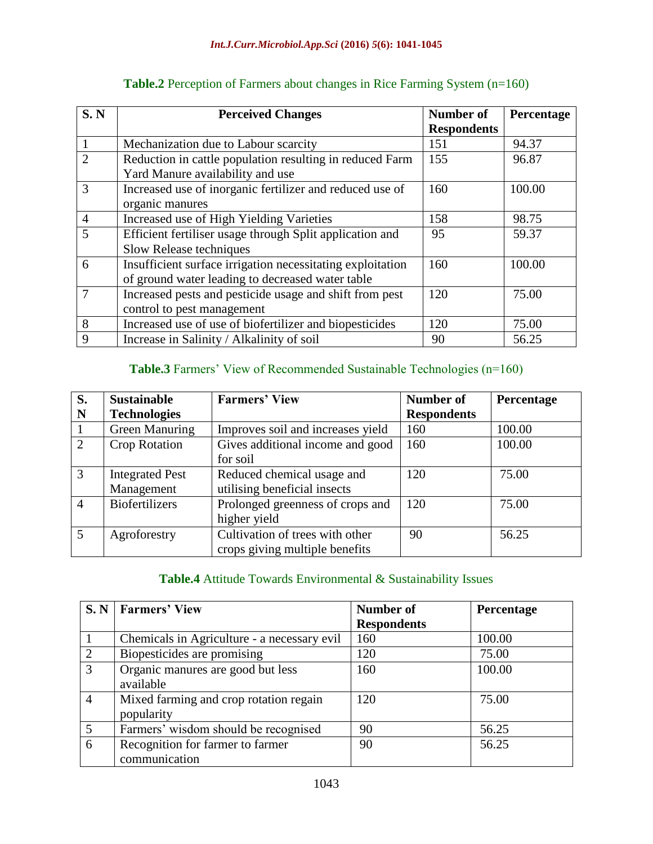| S. N           | <b>Number of</b><br><b>Perceived Changes</b>               |                    | Percentage |
|----------------|------------------------------------------------------------|--------------------|------------|
|                |                                                            | <b>Respondents</b> |            |
|                | Mechanization due to Labour scarcity                       | 151                | 94.37      |
| 2              | Reduction in cattle population resulting in reduced Farm   | 155                | 96.87      |
|                | Yard Manure availability and use                           |                    |            |
| 3              | Increased use of inorganic fertilizer and reduced use of   | 160                | 100.00     |
|                | organic manures                                            |                    |            |
| $\overline{4}$ | Increased use of High Yielding Varieties                   | 158                | 98.75      |
| 5              | Efficient fertiliser usage through Split application and   | 95                 | 59.37      |
|                | Slow Release techniques                                    |                    |            |
| 6              | Insufficient surface irrigation necessitating exploitation | 160                | 100.00     |
|                | of ground water leading to decreased water table           |                    |            |
| $\overline{7}$ | Increased pests and pesticide usage and shift from pest    | 120                | 75.00      |
|                | control to pest management                                 |                    |            |
| 8              | Increased use of use of biofertilizer and biopesticides    | 120                | 75.00      |
| 9              | Increase in Salinity / Alkalinity of soil                  | 90                 | 56.25      |

# **Table.2** Perception of Farmers about changes in Rice Farming System (n=160)

# **Table.3** Farmers' View of Recommended Sustainable Technologies (n=160)

| S.             | <b>Sustainable</b>     | <b>Farmers' View</b>              | <b>Number of</b>   | Percentage |
|----------------|------------------------|-----------------------------------|--------------------|------------|
| N              | <b>Technologies</b>    |                                   | <b>Respondents</b> |            |
|                | Green Manuring         | Improves soil and increases yield | 160                | 100.00     |
| 2              | Crop Rotation          | Gives additional income and good  | 160                | 100.00     |
|                |                        | for soil                          |                    |            |
| $\overline{3}$ | <b>Integrated Pest</b> | Reduced chemical usage and        | 120                | 75.00      |
|                | Management             | utilising beneficial insects      |                    |            |
| $\overline{4}$ | <b>Biofertilizers</b>  | Prolonged greenness of crops and  | 120                | 75.00      |
|                |                        | higher yield                      |                    |            |
| 5              | Agroforestry           | Cultivation of trees with other   | 90                 | 56.25      |
|                |                        | crops giving multiple benefits    |                    |            |

# **Table.4** Attitude Towards Environmental & Sustainability Issues

|                | S. N   Farmers' View                                 | Number of          | Percentage |
|----------------|------------------------------------------------------|--------------------|------------|
|                |                                                      | <b>Respondents</b> |            |
|                | Chemicals in Agriculture - a necessary evil          | 160                | 100.00     |
| 2              | Biopesticides are promising                          | 120                | 75.00      |
| 3              | Organic manures are good but less<br>available       | 160                | 100.00     |
| $\overline{4}$ | Mixed farming and crop rotation regain<br>popularity | 120                | 75.00      |
| 5              | Farmers' wisdom should be recognised                 | 90                 | 56.25      |
| 6              | Recognition for farmer to farmer<br>communication    | 90                 | 56.25      |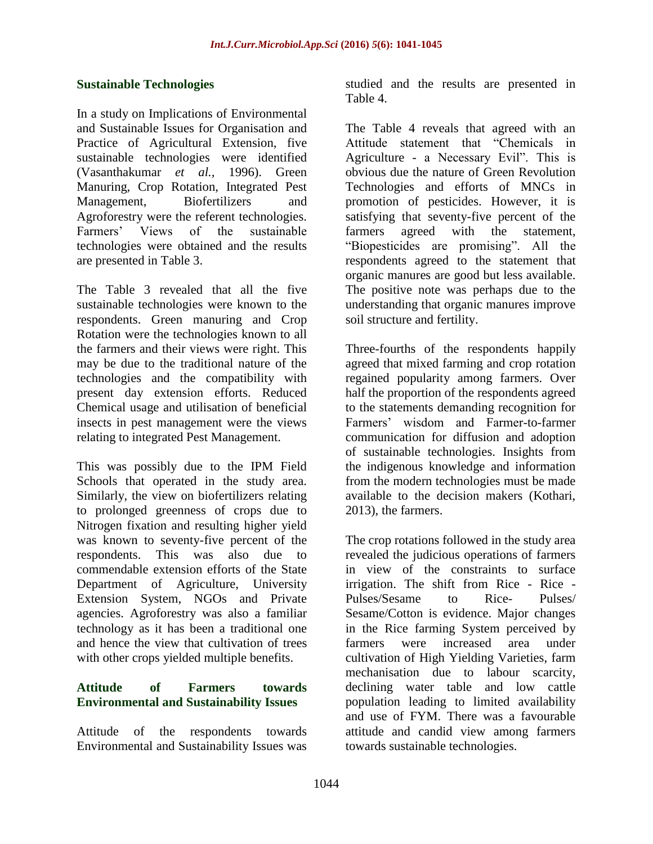#### **Sustainable Technologies**

In a study on Implications of Environmental and Sustainable Issues for Organisation and Practice of Agricultural Extension, five sustainable technologies were identified (Vasanthakumar *et al.,* 1996). Green Manuring, Crop Rotation, Integrated Pest Management, Biofertilizers and Agroforestry were the referent technologies. Farmers' Views of the sustainable technologies were obtained and the results are presented in Table 3.

The Table 3 revealed that all the five sustainable technologies were known to the respondents. Green manuring and Crop Rotation were the technologies known to all the farmers and their views were right. This may be due to the traditional nature of the technologies and the compatibility with present day extension efforts. Reduced Chemical usage and utilisation of beneficial insects in pest management were the views relating to integrated Pest Management.

This was possibly due to the IPM Field Schools that operated in the study area. Similarly, the view on biofertilizers relating to prolonged greenness of crops due to Nitrogen fixation and resulting higher yield was known to seventy-five percent of the respondents. This was also due to commendable extension efforts of the State Department of Agriculture, University Extension System, NGOs and Private agencies. Agroforestry was also a familiar technology as it has been a traditional one and hence the view that cultivation of trees with other crops yielded multiple benefits.

# **Attitude of Farmers towards Environmental and Sustainability Issues**

Attitude of the respondents towards Environmental and Sustainability Issues was studied and the results are presented in Table 4.

The Table 4 reveals that agreed with an Attitude statement that "Chemicals in Agriculture - a Necessary Evil". This is obvious due the nature of Green Revolution Technologies and efforts of MNCs in promotion of pesticides. However, it is satisfying that seventy-five percent of the farmers agreed with the statement, "Biopesticides are promising". All the respondents agreed to the statement that organic manures are good but less available. The positive note was perhaps due to the understanding that organic manures improve soil structure and fertility.

Three-fourths of the respondents happily agreed that mixed farming and crop rotation regained popularity among farmers. Over half the proportion of the respondents agreed to the statements demanding recognition for Farmers' wisdom and Farmer-to-farmer communication for diffusion and adoption of sustainable technologies. Insights from the indigenous knowledge and information from the modern technologies must be made available to the decision makers (Kothari, 2013), the farmers.

The crop rotations followed in the study area revealed the judicious operations of farmers in view of the constraints to surface irrigation. The shift from Rice - Rice - Pulses/Sesame to Rice- Pulses/ Sesame/Cotton is evidence. Major changes in the Rice farming System perceived by farmers were increased area under cultivation of High Yielding Varieties, farm mechanisation due to labour scarcity, declining water table and low cattle population leading to limited availability and use of FYM. There was a favourable attitude and candid view among farmers towards sustainable technologies.